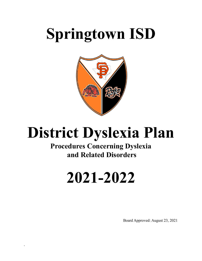# **Springtown ISD**



## **District Dyslexia Plan**

## **Procedures Concerning Dyslexia and Related Disorders**

# **2021-2022**

`

Board Approved: August 23, 2021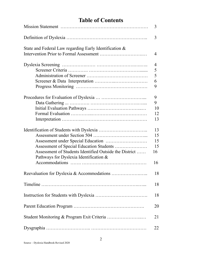## **Table of Contents**

|                                                        | 3  |
|--------------------------------------------------------|----|
|                                                        | 3  |
| State and Federal Law regarding Early Identification & |    |
|                                                        | 4  |
|                                                        | 4  |
|                                                        | 5  |
|                                                        | 5  |
|                                                        | 6  |
|                                                        | 9  |
|                                                        | 9  |
|                                                        | 9  |
|                                                        | 10 |
|                                                        | 12 |
|                                                        | 13 |
|                                                        | 13 |
|                                                        | 15 |
|                                                        | 15 |
|                                                        | 15 |
| Assessment of Students Identified Outside the District | 16 |
| Pathways for Dyslexia Identification &                 |    |
|                                                        | 16 |
|                                                        | 18 |
|                                                        | 18 |
|                                                        | 18 |
|                                                        | 20 |
|                                                        | 21 |
|                                                        | 22 |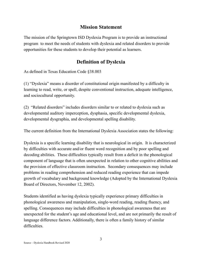## **Mission Statement**

The mission of the Springtown ISD Dyslexia Program is to provide an instructional program to meet the needs of students with dyslexia and related disorders to provide opportunities for these students to develop their potential as learners.

## **Definition of Dyslexia**

As defined in Texas Education Code §38.003

(1) "Dyslexia" means a disorder of constitutional origin manifested by a difficulty in learning to read, write, or spell, despite conventional instruction, adequate intelligence, and sociocultural opportunity.

(2) "Related disorders" includes disorders similar to or related to dyslexia such as developmental auditory imperception, dysphasia, specific developmental dyslexia, developmental dysgraphia, and developmental spelling disability.

The current definition from the International Dyslexia Association states the following:

Dyslexia is a specific learning disability that is neurological in origin. It is characterized by difficulties with accurate and/or fluent word recognition and by poor spelling and decoding abilities. These difficulties typically result from a deficit in the phonological component of language that is often unexpected in relation to other cognitive abilities and the provision of effective classroom instruction. Secondary consequences may include problems in reading comprehension and reduced reading experience that can impede growth of vocabulary and background knowledge (Adopted by the International Dyslexia Board of Directors, November 12, 2002).

Students identified as having dyslexia typically experience primary difficulties in phonological awareness and manipulation, single-word reading, reading fluency, and spelling. Consequences may include difficulties in phonological awareness that are unexpected for the student's age and educational level, and are not primarily the result of language difference factors. Additionally, there is often a family history of similar difficulties.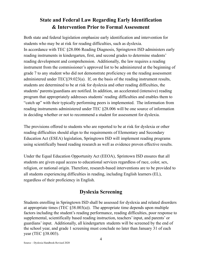## **State and Federal Law Regarding Early Identification & Intervention Prior to Formal Assessment**

Both state and federal legislation emphasize early identification and intervention for students who may be at risk for reading difficulties, such as dyslexia. In accordance with TEC §28.006 Reading Diagnosis, Springtown ISD administers early reading instruments in kindergarten, first, and second grades to determine students' reading development and comprehension. Additionally, the law requires a reading instrument from the commissioner's approved list to be administered at the beginning of grade 7 to any student who did not demonstrate proficiency on the reading assessment administered under TEC§39.023(a). If, on the basis of the reading instrument results, students are determined to be at risk for dyslexia and other reading difficulties, the students' parents/guardians are notified. In addition, an accelerated (intensive) reading program that appropriately addresses students' reading difficulties and enables them to "catch up" with their typically performing peers is implemented. The information from reading instruments administered under TEC §28.006 will be one source of information in deciding whether or not to recommend a student for assessment for dyslexia.

The provisions offered to students who are reported to be at risk for dyslexia or other reading difficulties should align to the requirements of Elementary and Secondary Education Act (ESEA) legislation, Springtown ISD will implement reading programs using scientifically based reading research as well as evidence proven effective results.

Under the Equal Education Opportunity Act (EEOA), Sprintown ISD ensures that all students are given equal access to educational services regardless of race, color, sex, religion, or national origin. Therefore, research-based interventions are to be provided to all students experiencing difficulties in reading, including English learners (EL), regardless of their proficiency in English.

## **Dyslexia Screening**

Students enrolling in Springtown ISD shall be assessed for dyslexia and related disorders at appropriate times (TEC  $\S 38.003(a)$ ). The appropriate time depends upon multiple factors including the student's reading performance, reading difficulties, poor response to supplemental, scientifically based reading instruction, teachers' input, and parents' or guardians' input. Additionally, all kindergarten students will be screened by the end of the school year, and grade 1 screening must conclude no later than January 31 of each year (TEC §38.003).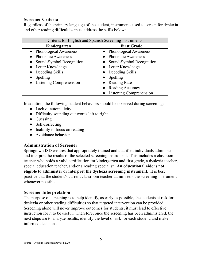#### **Screener Criteria**

Regardless of the primary language of the student, instruments used to screen for dyslexia and other reading difficulties must address the skills below:

| Criteria for English and Spanish Screening Instruments |                           |  |
|--------------------------------------------------------|---------------------------|--|
| Kindergarten                                           | <b>First Grade</b>        |  |
| • Phonological Awareness                               | • Phonological Awareness  |  |
| <b>Phonemic Awareness</b>                              | • Phonemic Awareness      |  |
| Sound-Symbol Recognition                               | Sound-Symbol Recognition  |  |
| • Letter Knowledge                                     | • Letter Knowledge        |  |
| Decoding Skills                                        | • Decoding Skills         |  |
| Spelling                                               | Spelling                  |  |
| • Listening Comprehension                              | <b>Reading Rate</b>       |  |
|                                                        | Reading Accuracy          |  |
|                                                        | • Listening Comprehension |  |

In addition, the following student behaviors should be observed during screening:

- Lack of automaticity
- Difficulty sounding out words left to right
- Guessing
- Self-correcting
- Inability to focus on reading
- Avoidance behavior

#### **Administration of Screener**

Springtown ISD ensures that appropriately trained and qualified individuals administer and interpret the results of the selected screening instrument. This includes a classroom teacher who holds a valid certification for kindergarten and first grade, a dyslexia teacher, special education teacher, and/or a reading specialist. **An educational aide is not eligible to administer or interpret the dyslexia screening instrument.** It is best practice that the student's current classroom teacher administers the screening instrument whenever possible.

#### **Screener Interpretation**

The purpose of screening is to help identify, as early as possible, the students at risk for dyslexia or other reading difficulties so that targeted intervention can be provided. Screening alone will never improve outcomes for students; it must lead to effective instruction for it to be useful. Therefore, once the screening has been administered, the next steps are to analyze results, identify the level of risk for each student, and make informed decisions.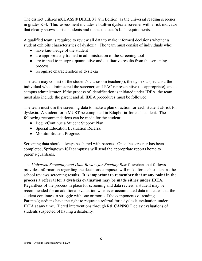The district utilizes mCLASS® DIBELS® 8th Edition as the universal reading screener in grades K-4. This assessment includes a built-in dyslexia screener with a risk indicator that clearly shows at-risk students and meets the state's K–1 requirements.

A qualified team is required to review all data to make informed decisions whether a student exhibits characteristics of dyslexia. The team must consist of individuals who:

- have knowledge of the student
- are appropriately trained in administration of the screening tool
- are trained to interpret quantitative and qualitative results from the screening process
- recognize characteristics of dyslexia

The team may consist of the student's classroom teacher(s), the dyslexia specialist, the individual who administered the screener, an LPAC representative (as appropriate), and a campus administrator. If the process of identification is initiated under IDEA, the team must also include the parent and all IDEA procedures must be followed.

The team must use the screening data to make a plan of action for each student at-risk for dyslexia. A student form MUST be completed in Eduphoria for each student. The following recommendations can be made for the student:

- Begin/Continue a Student Support Plan
- Special Education Evaluation Referral
- Monitor Student Progress

Screening data should always be shared with parents. Once the screener has been completed, Springtown ISD campuses will send the appropriate reports home to parents/guardians.

The *Universal Screening and Data Review for Reading Risk* flowchart that follows provides information regarding the decisions campuses will make for each student as the school reviews screening results. **It is important to remember that at any point in the process a referral for a dyslexia evaluation may be made either under IDEA.** Regardless of the process in place for screening and data review, a student may be recommended for an additional evaluation whenever accumulated data indicates that the student continues to struggle with one or more of the components of reading. Parents/guardians have the right to request a referral for a dyslexia evaluation under IDEA at any time. Tiered interventions through RtI **CANNOT** delay evaluations of students suspected of having a disability.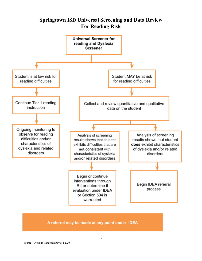## **Springtown ISD Universal Screening and Data Review For Reading Risk**



#### A referral may be made at any point under IDEA

Source – Dyslexia Handbook Revised 2020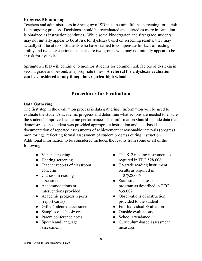#### **Progress Monitoring**

Teachers and administrators in Springtown ISD must be mindful that screening for at risk is an ongoing process. Decisions should be reevaluated and altered as more information is obtained as instruction continues. While some kindergarten and first grade students may not initially appear to be at risk for dyslexia based on screening results, they may actually still be at risk. Students who have learned to compensate for lack of reading ability and twice-exceptional students are two groups who may not initially appear to be at risk for dyslexia.

Springtown ISD will continue to monitor students for common risk factors of dyslexia in second grade and beyond, at appropriate times. **A referral for a dyslexia evaluation can be considered at any time; kindergarten-high school.**

## **Procedures for Evaluation**

#### **Data Gathering:**

The first step in the evaluation process is data gathering. Information will be used to evaluate the student's academic progress and determine what actions are needed to ensure the student's improved academic performance. This information **should** include data that demonstrates the student was provided appropriate instruction and data-based documentation of repeated assessments of achievement at reasonable intervals (progress monitoring), reflecting formal assessment of student progress during instruction. Additional information to be considered includes the results from some or all of the following:

- Vision screening
- Hearing screening
- Teacher reports of classroom concerns
- Classroom reading assessments
- Accommodations or interventions provided
- Academic progress reports (report cards)
- Gifted/Talented assessments
- Samples of schoolwork
- Parent conference notes
- Speech and language assessment
- The K-2 reading instrument as required in TEC §28.006
- 7<sup>th</sup>-grade reading instrument results as required in TEC§28.006
- State student assessment program as described in TEC §39.002
- Observations of instruction provided to the student
- Full Individual Evaluation
- Outside evaluations
- School attendance
- Curriculum-based assessment measures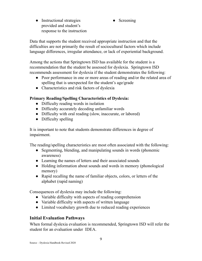- Instructional strategies provided and student's response to the instruction
- Screening

Data that supports the student received appropriate instruction and that the difficulties are not primarily the result of sociocultural factors which include language differences, irregular attendance, or lack of experiential background.

Among the actions that Springtown ISD has available for the student is a recommendation that the student be assessed for dyslexia. Springtown ISD recommends assessment for dyslexia if the student demonstrates the following:

- Poor performance in one or more areas of reading and/or the related area of spelling that is unexpected for the student's age/grade
- Characteristics and risk factors of dyslexia

#### **Primary Reading/Spelling Characteristics of Dyslexia:**

- Difficulty reading words in isolation
- Difficulty accurately decoding unfamiliar words
- Difficulty with oral reading (slow, inaccurate, or labored)
- Difficulty spelling

It is important to note that students demonstrate differences in degree of impairment.

The reading/spelling characteristics are most often associated with the following:

- Segmenting, blending, and manipulating sounds in words (phonemic awareness)
- Learning the names of letters and their associated sounds
- Holding information about sounds and words in memory (phonological memory)
- Rapid recalling the name of familiar objects, colors, or letters of the alphabet (rapid naming)

Consequences of dyslexia may include the following:

- Variable difficulty with aspects of reading comprehension
- Variable difficulty with aspects of written language
- Limited vocabulary growth due to reduced reading experiences

### **Initial Evaluation Pathways**

When formal dyslexia evaluation is recommended, Springtown ISD will refer the student for an evaluation under IDEA.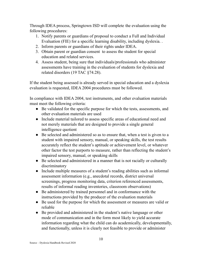Through IDEA process, Springtown ISD will complete the evaluation using the following procedures:

- 1. Notify parents or guardians of proposal to conduct a Full and Individual Evaluation (FIE) for a specific learning disability, including dyslexia. .
- 2. Inform parents or guardians of their rights under IDEA.
- 3. Obtain parent or guardian consent to assess the student for special education and related services.
- 4. Assess student, being sure that individuals/professionals who administer assessments have training in the evaluation of students for dyslexia and related disorders (19 TAC §74.28).

If the student being assessed is already served in special education and a dyslexia evaluation is requested, IDEA 2004 procedures must be followed.

In compliance with IDEA 2004, test instruments, and other evaluation materials must meet the following criteria:

- Be validated for the specific purpose for which the tests, assessments, and other evaluation materials are used
- Include material tailored to assess specific areas of educational need and not merely materials that are designed to provide a single general intelligence quotient
- Be selected and administered so as to ensure that, when a test is given to a student with impaired sensory, manual, or speaking skills, the test results accurately reflect the student's aptitude or achievement level, or whatever other factor the test purports to measure, rather than reflecting the student's impaired sensory, manual, or speaking skills
- Be selected and administered in a manner that is not racially or culturally discriminatory
- Include multiple measures of a student's reading abilities such as informal assessment information (e.g., anecdotal records, district universal screenings, progress monitoring data, criterion referenced assessments, results of informal reading inventories, classroom observations)
- Be administered by trained personnel and in conformance with the instructions provided by the producer of the evaluation materials
- Be used for the purpose for which the assessment or measures are valid or reliable
- Be provided and administered in the student's native language or other mode of communication and in the form most likely to yield accurate information regarding what the child can do academically, developmentally, and functionally, unless it is clearly not feasible to provide or administer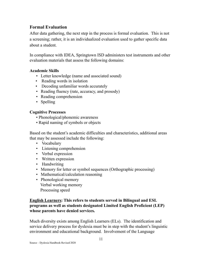#### **Formal Evaluation**

After data gathering, the next step in the process is formal evaluation. This is not a screening; rather, it is an individualized evaluation used to gather specific data about a student.

In compliance with IDEA, Springtown ISD administers test instruments and other evaluation materials that assess the following domains:

#### **Academic Skills**

- Letter knowledge (name and associated sound)
- Reading words in isolation
- Decoding unfamiliar words accurately
- Reading fluency (rate, accuracy, and prosody)
- Reading comprehension
- Spelling

#### **Cognitive Processes**

- Phonological/phonemic awareness
- Rapid naming of symbols or objects

Based on the student's academic difficulties and characteristics, additional areas that may be assessed include the following:

- Vocabulary
- Listening comprehension
- Verbal expression
- Written expression
- Handwriting
- Memory for letter or symbol sequences (Orthographic processing)
- Mathematical/calculation reasoning
- Phonological memory Verbal working memory Processing speed

#### **English Learners: This refers to students served in Bilingual and ESL programs as well as students designated Limited English Proficient (LEP) whose parents have denied services.**

Much diversity exists among English Learners (ELs). The identification and service delivery process for dyslexia must be in step with the student's linguistic environment and educational background. Involvement of the Language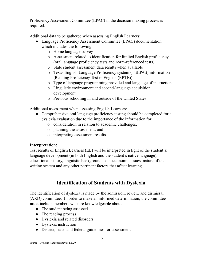Proficiency Assessment Committee (LPAC) in the decision making process is required.

Additional data to be gathered when assessing English Learners:

- Language Proficiency Assessment Committee (LPAC) documentation which includes the following:
	- o Home language survey
	- o Assessment related to identification for limited English proficiency (oral language proficiency tests and norm-referenced tests)
	- o State student assessment data results when available
	- o Texas English Language Proficiency system (TELPAS) information (Reading Proficiency Test in English (RPTE))
	- o Type of language programming provided and language of instruction
	- o Linguistic environment and second-language acquisition development
	- o Previous schooling in and outside of the United States

Additional assessment when assessing English Learners:

- Comprehensive oral language proficiency testing should be completed for a dyslexia evaluation due to the importance of the information for
	- o consideration in relation to academic challenges,
	- o planning the assessment, and
	- o interpreting assessment results.

#### **Interpretation:**

Test results of English Learners (EL) will be interpreted in light of the student's: language development (in both English and the student's native language), educational history, linguistic background, socioeconomic issues, nature of the writing system and any other pertinent factors that affect learning.

## **Identification of Students with Dyslexia**

The identification of dyslexia is made by the admission, review, and dismissal (ARD) committee. In order to make an informed determination, the committee **must** include members who are knowledgeable about:

- The student being assessed
- The reading process
- Dyslexia and related disorders
- Dyslexia instruction
- District, state, and federal guidelines for assessment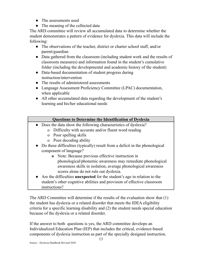- The assessments used
- The meaning of the collected data

The ARD committee will review all accumulated data to determine whether the student demonstrates a pattern of evidence for dyslexia. This data will include the following:

- The observations of the teacher, district or charter school staff, and/or parent/guardian
- Data gathered from the classroom (including student work and the results of classroom measures) and information found in the student's cumulative folder (including the developmental and academic history of the student)
- Data-based documentation of student progress during instruction/intervention
- The results of administered assessments
- Language Assessment Proficiency Committee (LPAC) documentation, when applicable
- All other accumulated data regarding the development of the student's learning and his/her educational needs

#### **Questions to Determine the Identification of Dyslexia**

- **●** Does the data show the following characteristics of dyslexia?
	- o Difficulty with accurate and/or fluent word reading
	- o Poor spelling skills
	- o Poor decoding ability
- Do these difficulties (typically) result from a deficit in the phonological component of language?
	- **o** Note: Because previous effective instruction in
	- phonological/phonemic awareness may remediate phonological awareness skills in isolation, average phonological awareness scores alone do not rule out dyslexia.
- **●** Are the difficulties **unexpected** for the student's age in relation to the student's other cognitive abilities and provision of effective classroom instructions?

The ARD Committee will determine if the results of the evaluation show that (1) the student has dyslexia or a related disorder that meets the IDEA eligibility criteria for a specific learning disability and (2) the student needs special education because of the dyslexia or a related disorder.

If the answer to both questions is yes, the ARD committee develops an Individualized Education Plan (IEP) that includes the critical, evidence-based components of dyslexia instruction as part of the specially designed instruction.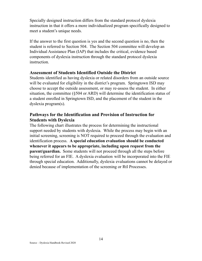Specially designed instruction differs from the standard protocol dyslexia instruction in that it offers a more individualized program specifically designed to meet a student's unique needs.

If the answer to the first question is yes and the second question is no, then the student is referred to Section 504. The Section 504 committee will develop an Individual Assistance Plan (IAP) that includes the critical, evidence based components of dyslexia instruction through the standard protocol dyslexia instruction.

#### **Assessment of Students Identified Outside the District**

Students identified as having dyslexia or related disorders from an outside source will be evaluated for eligibility in the district's program. Springtown ISD may choose to accept the outside assessment, or may re-assess the student. In either situation, the committee (§504 or ARD) will determine the identification status of a student enrolled in Springtown ISD, and the placement of the student in the dyslexia program(s).

#### **Pathways for the Identification and Provision of Instruction for Students with Dyslexia**

The following chart illustrates the process for determining the instructional support needed by students with dyslexia. While the process may begin with an initial screening, screening is NOT required to proceed through the evaluation and identification process. **A special education evaluation should be conducted whenever it appears to be appropriate, including upon request from the parent/guardian.** Some students will not proceed through all the steps before being referred for an FIE. A dyslexia evaluation will be incorporated into the FIE through special education. Additionally, dyslexia evaluations cannot be delayed or denied because of implementation of the screening or RtI Processes.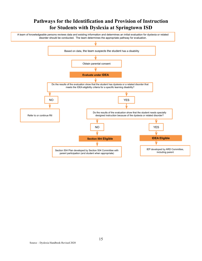## **Pathways for the Identification and Provision of Instruction for Students with Dyslexia at Springtown ISD**

A team of knowledgeable persons reviews data and existing information and determines an initial evaluation for dyslexia or related disorder should be conducted. The team determines the appropriate pathway for evaluation.

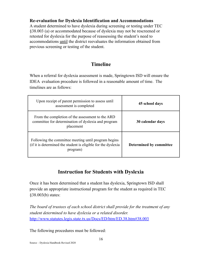#### **Re-evaluation for Dyslexia Identification and Accommodations**

A student determined to have dyslexia during screening or testing under TEC §38.003 (a) or accommodated because of dyslexia may not be rescreened or retested for dyslexia for the purpose of reassessing the student's need to accommodations until the district reevaluates the information obtained from previous screening or testing of the student.

## **Timeline**

When a referral for dyslexia assessment is made, Springtown ISD will ensure the IDEA evaluation procedure is followed in a reasonable amount of time. The timelines are as follows:

| Upon receipt of parent permission to assess until<br>assessment is completed                                                       | 45 school days          |
|------------------------------------------------------------------------------------------------------------------------------------|-------------------------|
| From the completion of the assessment to the ARD<br>committee for determination of dyslexia and program<br>placement               | 30 calendar days        |
| Following the committee meeting until program begins<br>(if it is determined the student is eligible for the dyslexia)<br>program) | Determined by committee |

## **Instruction for Students with Dyslexia**

Once it has been determined that a student has dyslexia, Springtown ISD shall provide an appropriate instructional program for the student as required in TEC §38.003(b) states:

*The board of trustees of each school district shall provide for the treatment of any student determined to have dyslexia or a related disorder.* <http://www.statutes.legis.state.tx.us/Docs/ED/htm/ED.38.htm#38.003>

The following procedures must be followed: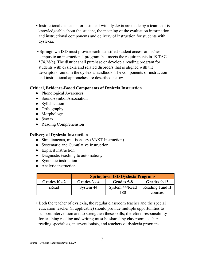- Instructional decisions for a student with dyslexia are made by a team that is knowledgeable about the student, the meaning of the evaluation information, and instructional components and delivery of instruction for students with dyslexia.
- Springtown ISD must provide each identified student access at his/her campus to an instructional program that meets the requirements in 19 TAC §74.28(c). The district shall purchase or develop a reading program for students with dyslexia and related disorders that is aligned with the descriptors found in the dyslexia handbook. The components of instruction and instructional approaches are described below.

#### **Critical, Evidence-Based Components of Dyslexia Instruction**

- Phonological Awareness
- Sound-symbol Association
- Syllabication
- Orthography
- Morphology
- Syntax
- Reading Comprehension

#### **Delivery of Dyslexia Instruction**

- Simultaneous, multisensory (VAKT Instruction)
- **●** Systematic and Cumulative Instruction
- Explicit instruction
- Diagnostic teaching to automaticity
- Synthetic instruction
- Analytic instruction

|                | <b>Springtown ISD Dyslexia Programs</b> |                |                  |
|----------------|-----------------------------------------|----------------|------------------|
| Grades $K - 2$ | Grades 3 - 4                            | Grades 5-8     | Grades 9-12      |
| iRead          | System 44                               | System 44/Read | Reading I and II |
|                |                                         | 180            | courses          |

• Both the teacher of dyslexia, the regular classroom teacher and the special education teacher (if applicable) should provide multiple opportunities to support intervention and to strengthen these skills; therefore, responsibility for teaching reading and writing must be shared by classroom teachers, reading specialists, interventionists, and teachers of dyslexia programs.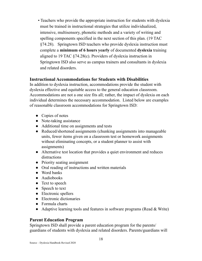• Teachers who provide the appropriate instruction for students with dyslexia must be trained in instructional strategies that utilize individualized, intensive, multisensory, phonetic methods and a variety of writing and spelling components specified in the next section of this plan. (19 TAC §74.28). Springtown ISD teachers who provide dyslexia instruction must complete a **minimum of 6 hours yearly** of documented **dyslexia** training aligned to 19 TAC §74.28(c). Providers of dyslexia instruction in Springtown ISD also serve as campus trainers and consultants in dyslexia and related disorders.

#### **Instructional Accommodations for Students with Disabilities**

In addition to dyslexia instruction, accommodations provide the student with dyslexia effective and equitable access to the general education classroom. Accommodations are not a one size fits all; rather, the impact of dyslexia on each individual determines the necessary accommodation. Listed below are examples of reasonable classroom accommodations for Springtown ISD:

- Copies of notes
- Note-taking assistance
- Additional time on assignments and tests
- Reduced/shortened assignments (chunking assignments into manageable units, fewer items given on a classroom test or homework assignments without eliminating concepts, or a student planner to assist with assignments)
- Alternative test location that provides a quiet environment and reduces distractions
- Priority seating assignment
- Oral reading of instructions and written materials
- Word banks
- Audiobooks
- Text to speech
- Speech to text
- Electronic spellers
- Electronic dictionaries
- Formula charts
- Adaptive learning tools and features in software programs (Read & Write)

### **Parent Education Program**

Springtown ISD shall provide a parent education program for the parents/ guardians of students with dyslexia and related disorders. Parents/guardians will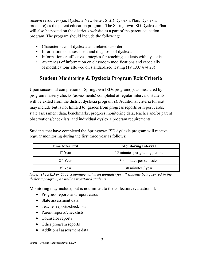receive resources (i.e. Dyslexia Newsletter, SISD Dyslexia Plan, Dyslexia brochure) as the parent education program. The Springtown ISD Dyslexia Plan will also be posted on the district's website as a part of the parent education program. The program should include the following:

- Characteristics of dyslexia and related disorders
- Information on assessment and diagnosis of dyslexia
- Information on effective strategies for teaching students with dyslexia
- Awareness of information on classroom modifications and especially of modifications allowed on standardized testing (19 TAC §74.28)

## **Student Monitoring & Dyslexia Program Exit Criteria**

Upon successful completion of Springtown ISDs program(s), as measured by program mastery checks (assessments) completed at regular intervals, students will be exited from the district dyslexia program(s). Additional criteria for exit may include but is not limited to: grades from progress reports or report cards, state assessment data, benchmarks, progress monitoring data, teacher and/or parent observations/checklists, and individual dyslexia program requirements.

Students that have completed the Springtown ISD dyslexia program will receive regular monitoring during the first three year as follows:

| <b>Time After Exit</b> | <b>Monitoring Interval</b>    |  |
|------------------------|-------------------------------|--|
| 1 <sup>st</sup> Year   | 15 minutes per grading period |  |
| $2nd$ Year             | 30 minutes per semester       |  |
| $3rd$ Year             | 30 minutes / year             |  |

*Note: The ARD or §504 committee will meet annually for all students being served in the dyslexia program, as well as monitored students.*

Monitoring may include, but is not limited to the collection/evaluation of:

- Progress reports and report cards
- State assessment data
- Teacher reports/checklists
- Parent reports/checklists
- Counselor reports
- Other program reports
- Additional assessment data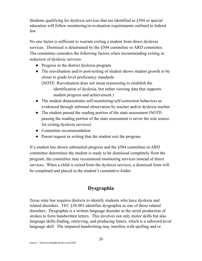Students qualifying for dyslexia services that are identified as §504 or special education will follow monitoring/re-evaluation requirements outlined in federal law.

No one factor is sufficient to warrant exiting a student from direct dyslexia services. Dismissal is determined by the  $\S 504$  committee or ARD committee. The committee considers the following factors when recommending exiting or reduction of dyslexic services:

- Progress in the district dyslexia program
- The reevaluation and/or post-testing of student shows student growth to be closer to grade level proficiency standards

(NOTE: Reevaluation does not mean reassessing to establish the identification of dyslexia, but rather viewing data that supports student progress and achievement.)

- The student demonstrates self-monitoring/self-correction behaviors as evidenced through informal observation by teacher and/or dyslexia teacher
- The student passed the reading portion of the state assessment (NOTE: passing the reading portion of the state assessment is never the sole source for exiting dyslexia services)
- Committee recommendation
- Parent request in writing that the student exit the program

If a student has shown substantial progress and the §504 committee or ARD committee determines the student is ready to be dismissed completely from the program, the committee may recommend monitoring services instead of direct services. When a child is exited from the dyslexia services, a dismissal form will be completed and placed in the student's cumulative folder.

## **Dysgraphia**

Texas state law requires districts to identify students who have dyslexia and related disorders. TEC §38.003 identifies dysgraphia as one of those related disorders. Dysgraphia is a written language disorder in the serial production of strokes to form handwritten letters. This involves not only motor skills but also language skills-finding, retrieving, and producing letters, which is a subword-level language skill. The impaired handwriting may interfere with spelling and or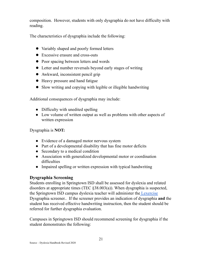composition. However, students with only dysgraphia do not have difficulty with reading.

The characteristics of dysgraphia include the following:

- Variably shaped and poorly formed letters
- Excessive erasure and cross-outs
- Poor spacing between letters and words
- Letter and number reversals beyond early stages of writing
- Awkward, inconsistent pencil grip
- Heavy pressure and hand fatigue
- Slow writing and copying with legible or illegible handwriting

Additional consequences of dysgraphia may include:

- Difficulty with unedited spelling
- Low volume of written output as well as problems with other aspects of written expression

Dysgraphia is **NOT:**

- Evidence of a damaged motor nervous system
- Part of a developmental disability that has fine motor deficits
- Secondary to a medical condition
- Association with generalized developmental motor or coordination difficulties
- Impaired spelling or written expression with typical handwriting

#### **Dysgraphia Screening**

Students enrolling in Springtown ISD shall be assessed for dyslexia and related disorders at appropriate times (TEC §38.003(a)). When dysgraphia is suspected, the Springtown ISD campus dyslexia teacher will administer the [Lexercise](https://www.lexercise.com/tests/dysgraphia-test) Dysgraphia screener.. If the screener provides an indication of dysgraphia **and** the student has received effective handwriting instruction, then the student should be referred for further dysgraphia evaluation.

Campuses in Springtown ISD should recommend screening for dysgraphia if the student demonstrates the following: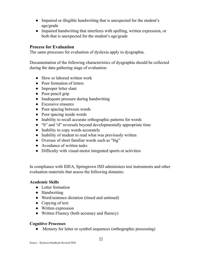- Impaired or illegible handwriting that is unexpected for the student's age/grade
- Impaired handwriting that interferes with spelling, written expression, or both that is unexpected for the student's age/grade

#### **Process for Evaluation**

The same processes for evaluation of dyslexia apply to dysgraphia.

Documentation of the following characteristics of dysgraphia should be collected during the data gathering stage of evaluation:

- Slow or labored written work
- Poor formation of letters
- Improper letter slant
- Poor pencil grip
- Inadequate pressure during handwriting
- Excessive erasures
- Poor spacing between words
- Poor spacing inside words
- Inability to recall accurate orthographic patterns for words
- "b" and "d" reversals beyond developmentally appropriate time
- Inability to copy words accurately
- Inability of student to read what was previously written
- Overuse of short familiar words such as "big"
- Avoidance of written tasks
- Difficulty with visual-motor integrated sports or activities

In compliance with IDEA, Springtown ISD administers test instruments and other evaluation materials that assess the following domains:

#### **Academic Skills**

- Letter formation
- Handwriting
- Word/sentence dictation (timed and untimed)
- Copying of text
- Written expression
- Written Fluency (both accuracy and fluency)

#### **Cognitive Processes**

• Memory for letter or symbol sequences (orthographic processing)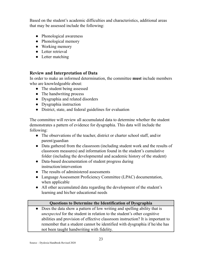Based on the student's academic difficulties and characteristics, additional areas that may be assessed include the following:

- Phonological awareness
- Phonological memory
- Working memory
- Letter retrieval
- Letter matching

#### **Review and Interpretation of Data**

In order to make an informed determination, the committee **must** include members who are knowledgeable about:

- The student being assessed
- The handwriting process
- Dysgraphia and related disorders
- Dysgraphia instruction
- District, state, and federal guidelines for evaluation

The committee will review all accumulated data to determine whether the student demonstrates a pattern of evidence for dysgraphia. This data will include the following:

- The observations of the teacher, district or charter school staff, and/or parent/guardian
- Data gathered from the classroom (including student work and the results of classroom measures) and information found in the student's cumulative folder (including the developmental and academic history of the student)
- Data-based documentation of student progress during instruction/intervention
- The results of administered assessments
- Language Assessment Proficiency Committee (LPAC) documentation, when applicable
- All other accumulated data regarding the development of the student's learning and his/her educational needs

#### **Questions to Determine the Identification of Dysgraphia**

**●** Does the data show a pattern of low writing and spelling ability that is *unexpected* for the student in relation to the student's other cognitive abilities and provision of effective classroom instruction? It is important to remember that a student cannot be identified with dysgraphia if he/she has not been taught handwriting with fidelity.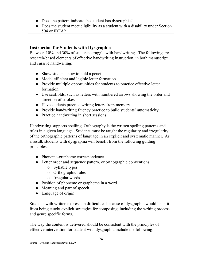- **●** Does the pattern indicate the student has dysgraphia?
- **●** Does the student meet eligibility as a student with a disability under Section 504 or IDEA?

#### **Instruction for Students with Dysgraphia**

Between 10% and 30% of students struggle with handwriting. The following are research-based elements of effective handwriting instruction, in both manuscript and cursive handwriting:

- Show students how to hold a pencil.
- Model efficient and legible letter formation.
- Provide multiple opportunities for students to practice effective letter formation.
- Use scaffolds, such as letters with numbered arrows showing the order and direction of strokes.
- Have students practice writing letters from memory.
- Provide handwriting fluency practice to build students' automaticity.
- Practice handwriting in short sessions.

Handwriting supports spelling. Orthography is the written spelling patterns and rules in a given language. Students must be taught the regularity and irregularity of the orthographic patterns of language in an explicit and systematic manner. As a result, students with dysgraphia will benefit from the following guiding principles:

- Phoneme-grapheme correspondence
- Letter order and sequence pattern, or orthographic conventions
	- o Syllable types
	- o Orthographic rules
	- o Irregular words
- Position of phoneme or grapheme in a word
- Meaning and part of speech
- Language of origin

Students with written expression difficulties because of dysgraphia would benefit from being taught explicit strategies for composing, including the writing process and genre specific forms.

The way the content is delivered should be consistent with the principles of effective intervention for student with dysgraphia include the following: